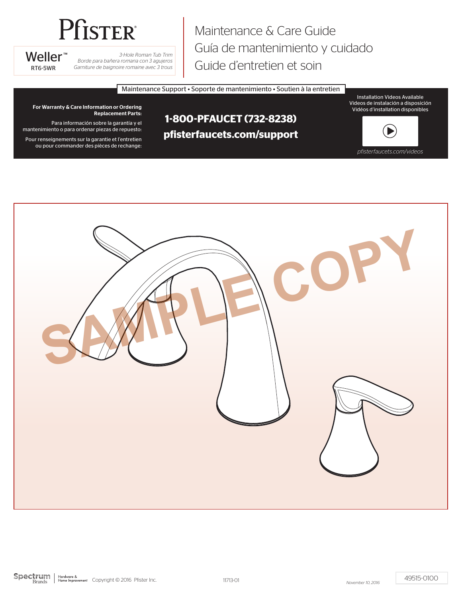# **Pfister**

Weller<sup>™</sup>

*3-Hole Roman Tub Trim Borde para bañera romana con 3 agujeros* RT6-5WR *Garniture de baignoire romaine avec 3 trous*

Maintenance & Care Guide Guía de mantenimiento y cuidado Guide d'entretien et soin

Maintenance Support • Soporte de mantenimiento • Soutien à la entretien

Installation Videos Available Videos de instalación a disposición Vidéos d'installation disponibles

For Warranty & Care Information or Ordering Replacement Parts:

Para información sobre la garantía y el mantenimiento o para ordenar piezas de repuesto:

Pour renseignements sur la garantie et l'entretien ou pour commander des pièces de rechange:

# **1-800-PFAUCET (732-8238) pfisterfaucets.com/support**



*pfisterfaucets.com/videos*

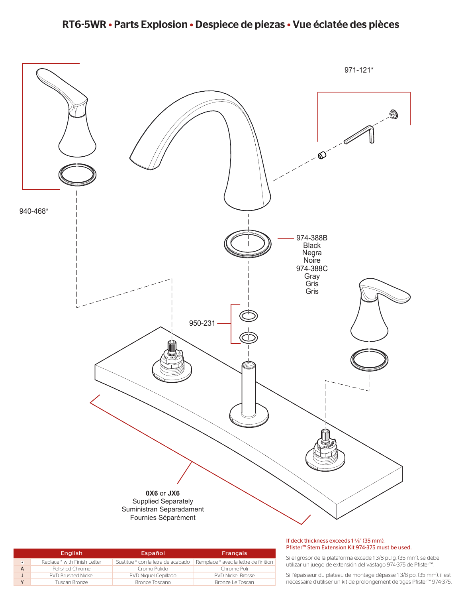# RT6-5WR • Parts Explosion • Despiece de piezas • Vue éclatée des pièces



|         | <b>English</b>               | Español                            | <b>Francais</b>                       |
|---------|------------------------------|------------------------------------|---------------------------------------|
| $\star$ | Replace * with Finish Letter | Sustitue * con la letra de acabado | Remplace * avec la lettre de finition |
|         | Polished Chrome              | Cromo Pulido                       | Chrome Poli                           |
|         | <b>PVD Brushed Nickel</b>    | PVD Niquel Cepillado               | <b>PVD Nickel Brosse</b>              |
|         | Tuscan Bronze                | Bronce Toscano                     | Bronze Le Toscan                      |

#### If deck thickness exceeds 1 <sup>3</sup>/<sub>8</sub>" (35 mm), Stem Extension Kit 974-375 must be used.

sor de la plataforma excede 1 3/8 pulg. (35 mm), se debe ın juego de extensión del vástago 974-375 de Pfister™.

seur du plateau de montage dépasse 1 3/8 po. (35 mm), il est ire d'utiliser un kit de prolongement de tiges Pfister™ 974-375.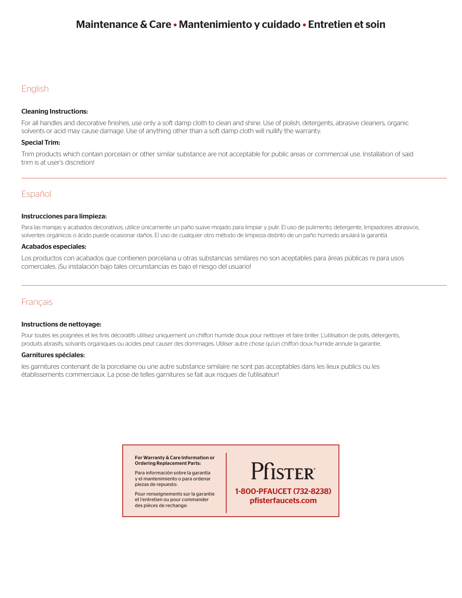# Maintenance & Care • Mantenimiento y cuidado • Entretien et soin

# English

## Cleaning Instructions:

For all handles and decorative finishes, use only a soft damp cloth to clean and shine. Use of polish, detergents, abrasive cleaners, organic solvents or acid may cause damage. Use of anything other than a soft damp cloth will nullify the warranty.

## Special Trim:

Trim products which contain porcelain or other similar substance are not acceptable for public areas or commercial use. Installation of said trim is at user's discretion!

# Español

#### Instrucciones para limpieza:

Para las manijas y acabados decorativos, utilice únicamente un paño suave mojado para limpiar y pulir. El uso de pulimento, detergente, limpiadores abrasivos, solventes orgánicos o ácido puede ocasionar daños. El uso de cualquier otro método de limpieza distinto de un paño húmedo anulará la garantía.

#### Acabados especiales:

Los productos con acabados que contienen porcelana u otras substancias similares no son aceptables para áreas públicas ni para usos comerciales. ¡Su instalación bajo tales circunstancias es bajo el riesgo del usuario!

# Français

#### Instructions de nettoyage:

Pour toutes les poignées et les finis décoratifs utilisez uniquement un chiffon humide doux pour nettoyer et faire briller. L'utilisation de polis, détergents, produits abrasifs, solvants organiques ou acides peut causer des dommages. Utiliser autre chose qu'un chiffon doux humide annule la garantie.

## Garnitures spéciales:

les garnitures contenant de la porcelaine ou une autre substance similaire ne sont pas acceptables dans les lieux publics ou les établissements commerciaux. La pose de telles garnitures se fait aux risques de l'utilisateur!

> For Warranty & Care Information or Ordering Replacement Parts:

Para información sobre la garantía y el mantenimiento o para ordenar piezas de repuesto:

Pour renseignements sur la garantie et l'entretien ou pour commander des pièces de rechange:

Pfister® 1-800-PFAUCET (732-8238) pfisterfaucets.com